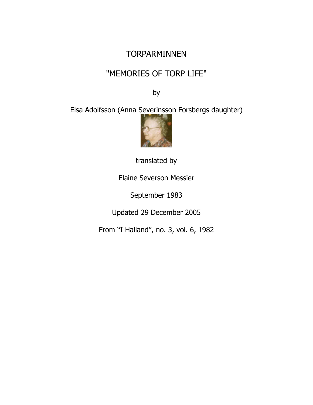### **TORPARMINNEN**

# "MEMORIES OF TORP LIFE"

by

Elsa Adolfsson (Anna Severinsson Forsbergs daughter)



translated by

Elaine Severson Messier

September 1983

Updated 29 December 2005

From "I Halland", no. 3, vol. 6, 1982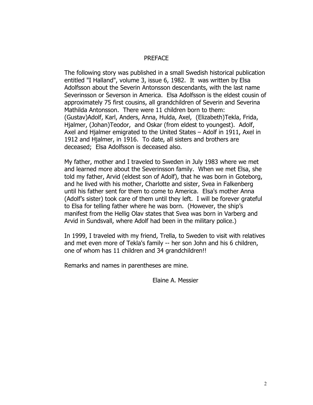### PREFACE

The following story was published in a small Swedish historical publication entitled "I Halland", volume 3, issue 6, 1982. It was written by Elsa Adolfsson about the Severin Antonsson descendants, with the last name Severinsson or Severson in America. Elsa Adolfsson is the eldest cousin of approximately 75 first cousins, all grandchildren of Severin and Severina Mathilda Antonsson. There were 11 children born to them: (Gustav)Adolf, Karl, Anders, Anna, Hulda, Axel, (Elizabeth)Tekla, Frida, Hjalmer, (Johan)Teodor, and Oskar (from eldest to youngest). Adolf, Axel and Hjalmer emigrated to the United States – Adolf in 1911, Axel in 1912 and Hjalmer, in 1916. To date, all sisters and brothers are deceased; Elsa Adolfsson is deceased also.

My father, mother and I traveled to Sweden in July 1983 where we met and learned more about the Severinsson family. When we met Elsa, she told my father, Arvid (eldest son of Adolf), that he was born in Goteborg, and he lived with his mother, Charlotte and sister, Svea in Falkenberg until his father sent for them to come to America. Elsa's mother Anna (Adolf's sister) took care of them until they left. I will be forever grateful to Elsa for telling father where he was born. (However, the ship's manifest from the Hellig Olav states that Svea was born in Varberg and Arvid in Sundsvall, where Adolf had been in the military police.)

In 1999, I traveled with my friend, Trella, to Sweden to visit with relatives and met even more of Tekla's family -- her son John and his 6 children, one of whom has 11 children and 34 grandchildren!!

Remarks and names in parentheses are mine.

Elaine A. Messier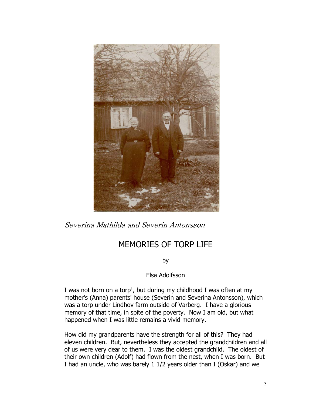

Severina Mathilda and Severin Antonsson

# MEMORIES OF TORP LIFE

by

Elsa Adolfsson

I was not born on a torp<sup>1</sup>, but during my childhood I was often at my mother's (Anna) parents' house (Severin and Severina Antonsson), which was a torp under Lindhov farm outside of Varberg. I have a glorious memory of that time, in spite of the poverty. Now I am old, but what happened when I was little remains a vivid memory.

How did my grandparents have the strength for all of this? They had eleven children. But, nevertheless they accepted the grandchildren and all of us were very dear to them. I was the oldest grandchild. The oldest of their own children (Adolf) had flown from the nest, when I was born. But I had an uncle, who was barely 1 1/2 years older than I (Oskar) and we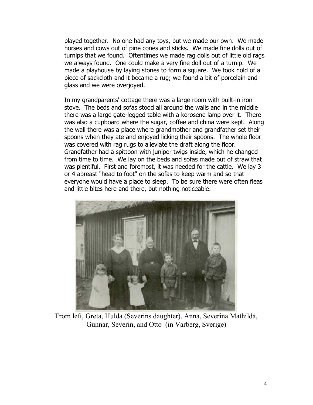played together. No one had any toys, but we made our own. We made horses and cows out of pine cones and sticks. We made fine dolls out of turnips that we found. Oftentimes we made rag dolls out of little old rags we always found. One could make a very fine doll out of a turnip. We made a playhouse by laying stones to form a square. We took hold of a piece of sackcloth and it became a rug; we found a bit of porcelain and glass and we were overjoyed.

In my grandparents' cottage there was a large room with built-in iron stove. The beds and sofas stood all around the walls and in the middle there was a large gate-legged table with a kerosene lamp over it. There was also a cupboard where the sugar, coffee and china were kept. Along the wall there was a place where grandmother and grandfather set their spoons when they ate and enjoyed licking their spoons. The whole floor was covered with rag rugs to alleviate the draft along the floor. Grandfather had a spittoon with juniper twigs inside, which he changed from time to time. We lay on the beds and sofas made out of straw that was plentiful. First and foremost, it was needed for the cattle. We lay 3 or 4 abreast "head to foot" on the sofas to keep warm and so that everyone would have a place to sleep. To be sure there were often fleas and little bites here and there, but nothing noticeable.



From left, Greta, Hulda (Severins daughter), Anna, Severina Mathilda, Gunnar, Severin, and Otto (in Varberg, Sverige)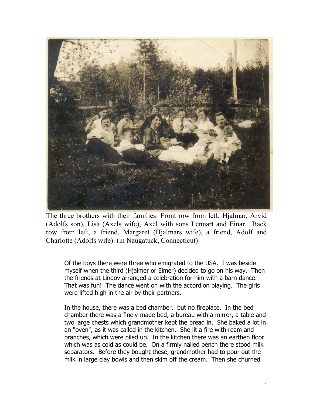

The three brothers with their families: Front row from left; Hjalmar, Arvid (Adolfs son), Lisa (Axels wife), Axel with sons Lennart and Einar. Back row from left, a friend, Margaret (Hjalmars wife), a friend, Adolf and Charlotte (Adolfs wife). (in Naugatuck, Connecticut)

Of the boys there were three who emigrated to the USA. I was beside myself when the third (Hjalmer or Elmer) decided to go on his way. Then the friends at Lindov arranged a celebration for him with a barn dance. That was fun! The dance went on with the accordion playing. The girls were lifted high in the air by their partners.

In the house, there was a bed chamber, but no fireplace. In the bed chamber there was a finely-made bed, a bureau with a mirror, a table and two large chests which grandmother kept the bread in. She baked a lot in an "oven", as it was called in the kitchen. She lit a fire with ream and branches, which were piled up. In the kitchen there was an earthen floor which was as cold as could be. On a firmly nailed bench there stood milk separators. Before they bought these, grandmother had to pour out the milk in large clay bowls and then skim off the cream. Then she churned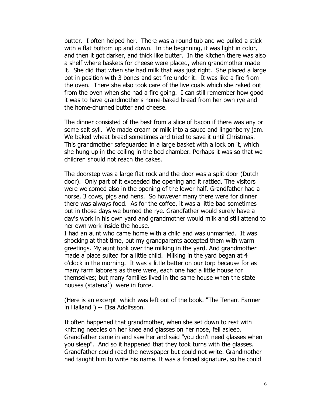butter. I often helped her. There was a round tub and we pulled a stick with a flat bottom up and down. In the beginning, it was light in color, and then it got darker, and thick like butter. In the kitchen there was also a shelf where baskets for cheese were placed, when grandmother made it. She did that when she had milk that was just right. She placed a large pot in position with 3 bones and set fire under it. It was like a fire from the oven. There she also took care of the live coals which she raked out from the oven when she had a fire going. I can still remember how good it was to have grandmother's home-baked bread from her own rye and the home-churned butter and cheese.

The dinner consisted of the best from a slice of bacon if there was any or some salt syll. We made cream or milk into a sauce and lingonberry jam. We baked wheat bread sometimes and tried to save it until Christmas. This grandmother safeguarded in a large basket with a lock on it, which she hung up in the ceiling in the bed chamber. Perhaps it was so that we children should not reach the cakes.

The doorstep was a large flat rock and the door was a split door (Dutch door). Only part of it exceeded the opening and it rattled. The visitors were welcomed also in the opening of the lower half. Grandfather had a horse, 3 cows, pigs and hens. So however many there were for dinner there was always food. As for the coffee, it was a little bad sometimes but in those days we burned the rye. Grandfather would surely have a day's work in his own yard and grandmother would milk and still attend to her own work inside the house.

I had an aunt who came home with a child and was unmarried. It was shocking at that time, but my grandparents accepted them with warm greetings. My aunt took over the milking in the yard. And grandmother made a place suited for a little child. Milking in the yard began at 4 o'clock in the morning. It was a little better on our torp because for as many farm laborers as there were, each one had a little house for themselves; but many families lived in the same house when the state houses (statena<sup>2</sup>) were in force.

(Here is an excerpt which was left out of the book. "The Tenant Farmer in Halland") -- Elsa Adolfsson.

It often happened that grandmother, when she set down to rest with knitting needles on her knee and glasses on her nose, fell asleep. Grandfather came in and saw her and said "you don't need glasses when you sleep". And so it happened that they took turns with the glasses. Grandfather could read the newspaper but could not write. Grandmother had taught him to write his name. It was a forced signature, so he could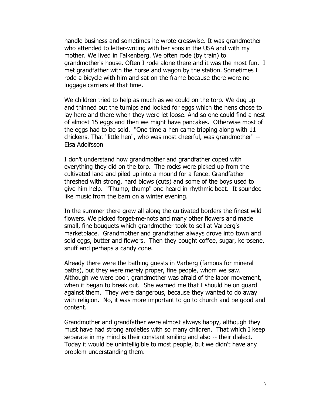handle business and sometimes he wrote crosswise. It was grandmother who attended to letter-writing with her sons in the USA and with my mother. We lived in Falkenberg. We often rode (by train) to grandmother's house. Often I rode alone there and it was the most fun. I met grandfather with the horse and wagon by the station. Sometimes I rode a bicycle with him and sat on the frame because there were no luggage carriers at that time.

We children tried to help as much as we could on the torp. We dug up and thinned out the turnips and looked for eggs which the hens chose to lay here and there when they were let loose. And so one could find a nest of almost 15 eggs and then we might have pancakes. Otherwise most of the eggs had to be sold. "One time a hen came tripping along with 11 chickens. That "little hen", who was most cheerful, was grandmother" -- Elsa Adolfsson

I don't understand how grandmother and grandfather coped with everything they did on the torp. The rocks were picked up from the cultivated land and piled up into a mound for a fence. Grandfather threshed with strong, hard blows (cuts) and some of the boys used to give him help. "Thump, thump" one heard in rhythmic beat. It sounded like music from the barn on a winter evening.

In the summer there grew all along the cultivated borders the finest wild flowers. We picked forget-me-nots and many other flowers and made small, fine bouquets which grandmother took to sell at Varberg's marketplace. Grandmother and grandfather always drove into town and sold eggs, butter and flowers. Then they bought coffee, sugar, kerosene, snuff and perhaps a candy cone.

Already there were the bathing guests in Varberg (famous for mineral baths), but they were merely proper, fine people, whom we saw. Although we were poor, grandmother was afraid of the labor movement, when it began to break out. She warned me that I should be on guard against them. They were dangerous, because they wanted to do away with religion. No, it was more important to go to church and be good and content.

Grandmother and grandfather were almost always happy, although they must have had strong anxieties with so many children. That which I keep separate in my mind is their constant smiling and also -- their dialect. Today it would be unintelligible to most people, but we didn't have any problem understanding them.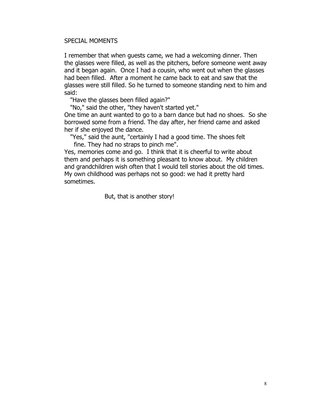#### SPECIAL MOMENTS

I remember that when guests came, we had a welcoming dinner. Then the glasses were filled, as well as the pitchers, before someone went away and it began again. Once I had a cousin, who went out when the glasses had been filled. After a moment he came back to eat and saw that the glasses were still filled. So he turned to someone standing next to him and said:

"Have the glasses been filled again?"

"No," said the other, "they haven't started yet."

One time an aunt wanted to go to a barn dance but had no shoes. So she borrowed some from a friend. The day after, her friend came and asked her if she enjoyed the dance.

 "Yes," said the aunt, "certainly I had a good time. The shoes felt fine. They had no straps to pinch me".

Yes, memories come and go. I think that it is cheerful to write about them and perhaps it is something pleasant to know about. My children and grandchildren wish often that I would tell stories about the old times. My own childhood was perhaps not so good: we had it pretty hard sometimes.

But, that is another story!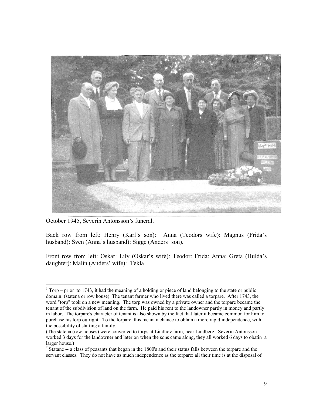

October 1945, Severin Antonsson's funeral.

 $\overline{a}$ 

Back row from left: Henry (Karl's son): Anna (Teodors wife): Magnus (Frida's husband): Sven (Anna's husband): Sigge (Anders' son).

Front row from left: Oskar: Lily (Oskar's wife): Teodor: Frida: Anna: Greta (Hulda's daughter): Malin (Anders' wife): Tekla

 $1$  Torp – prior to 1743, it had the meaning of a holding or piece of land belonging to the state or public domain. (statena or row house) The tenant farmer who lived there was called a torpare. After 1743, the word "torp" took on a new meaning. The torp was owned by a private owner and the torpare became the tenant of the subdivision of land on the farm. He paid his rent to the landowner partly in money and partly in labor. The torpare's character of tenant is also shown by the fact that later it became common for him to purchase his torp outright. To the torpare, this meant a chance to obtain a more rapid independence, with the possibility of starting a family.

<sup>(</sup>The statena (row houses) were converted to torps at Lindhov farm, near Lindberg. Severin Antonsson worked 3 days for the landowner and later on when the sons came along, they all worked 6 days to obatin a larger house.)

 $2^{2}$  Statane  $-$  a class of peasants that began in the 1800's and their status falls between the torpare and the servant classes. They do not have as much independence as the torpare: all their time is at the disposal of